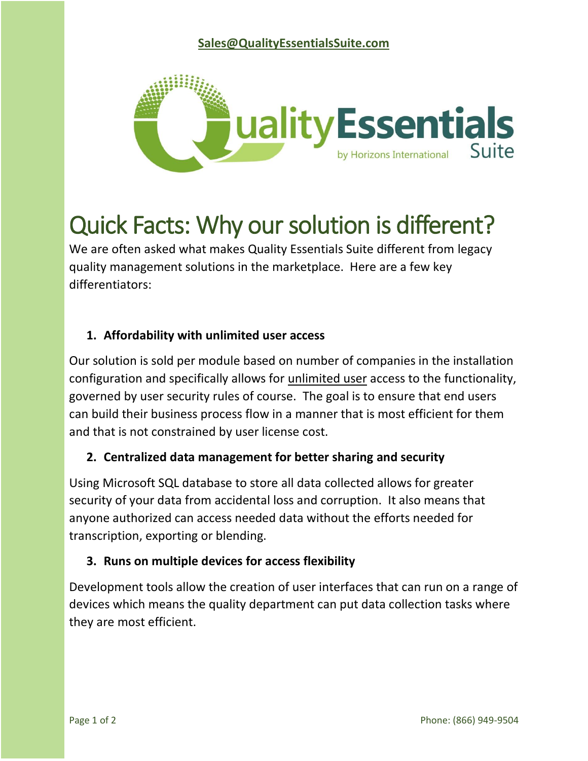

# Quick Facts: Why our solution is different?

We are often asked what makes Quality Essentials Suite different from legacy quality management solutions in the marketplace. Here are a few key differentiators:

# **1. Affordability with unlimited user access**

Our solution is sold per module based on number of companies in the installation configuration and specifically allows for unlimited user access to the functionality, governed by user security rules of course. The goal is to ensure that end users can build their business process flow in a manner that is most efficient for them and that is not constrained by user license cost.

# **2. Centralized data management for better sharing and security**

Using Microsoft SQL database to store all data collected allows for greater security of your data from accidental loss and corruption. It also means that anyone authorized can access needed data without the efforts needed for transcription, exporting or blending.

# **3. Runs on multiple devices for access flexibility**

Development tools allow the creation of user interfaces that can run on a range of devices which means the quality department can put data collection tasks where they are most efficient.